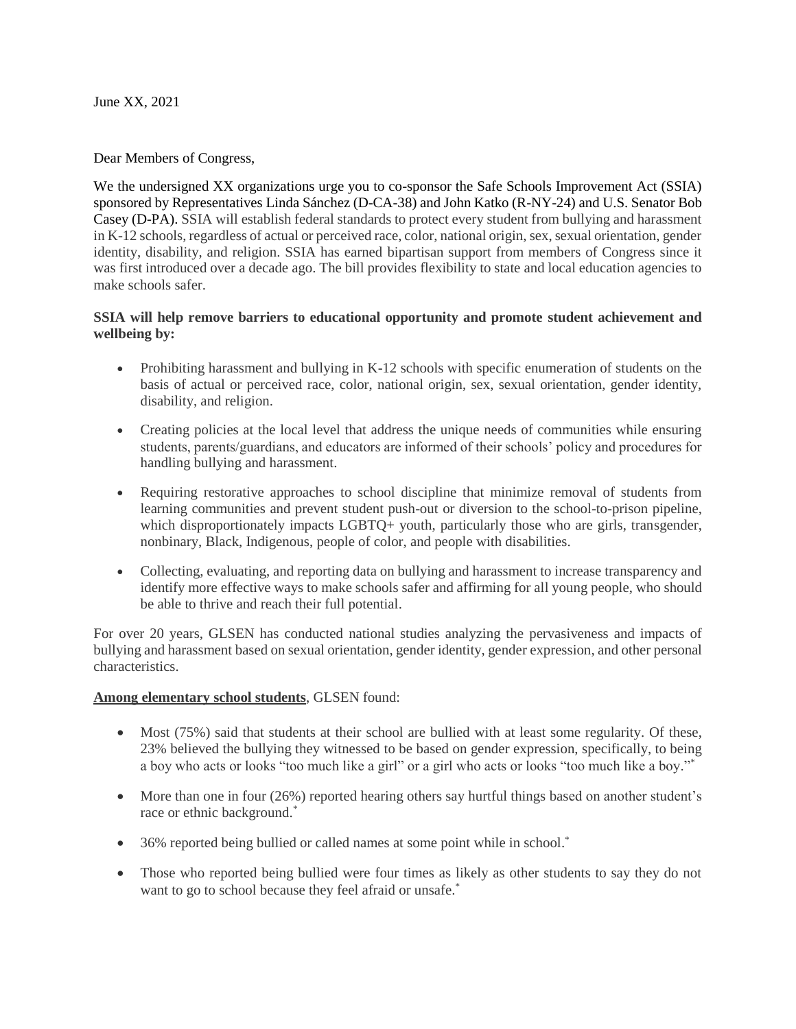June XX, 2021

Dear Members of Congress,

We the undersigned XX organizations urge you to co-sponsor the Safe Schools Improvement Act (SSIA) sponsored by Representatives Linda Sánchez (D-CA-38) and John Katko (R-NY-24) and U.S. Senator Bob Casey (D-PA). SSIA will establish federal standards to protect every student from bullying and harassment in K-12 schools, regardless of actual or perceived race, color, national origin, sex, sexual orientation, gender identity, disability, and religion. SSIA has earned bipartisan support from members of Congress since it was first introduced over a decade ago. The bill provides flexibility to state and local education agencies to make schools safer.

## **SSIA will help remove barriers to educational opportunity and promote student achievement and wellbeing by:**

- Prohibiting harassment and bullying in K-12 schools with specific enumeration of students on the basis of actual or perceived race, color, national origin, sex, sexual orientation, gender identity, disability, and religion.
- Creating policies at the local level that address the unique needs of communities while ensuring students, parents/guardians, and educators are informed of their schools' policy and procedures for handling bullying and harassment.
- Requiring restorative approaches to school discipline that minimize removal of students from learning communities and prevent student push-out or diversion to the school-to-prison pipeline, which disproportionately impacts LGBTQ+ youth, particularly those who are girls, transgender, nonbinary, Black, Indigenous, people of color, and people with disabilities.
- Collecting, evaluating, and reporting data on bullying and harassment to increase transparency and identify more effective ways to make schools safer and affirming for all young people, who should be able to thrive and reach their full potential.

For over 20 years, GLSEN has conducted national studies analyzing the pervasiveness and impacts of bullying and harassment based on sexual orientation, gender identity, gender expression, and other personal characteristics.

## **Among elementary school students**, GLSEN found:

- Most (75%) said that students at their school are bullied with at least some regularity. Of these, 23% believed the bullying they witnessed to be based on gender expression, specifically, to being a boy who acts or looks "too much like a girl" or a girl who acts or looks "too much like a boy."\*
- More than one in four (26%) reported hearing others say hurtful things based on another student's race or ethnic background. \*
- 36% reported being bullied or called names at some point while in school.<sup>\*</sup>
- Those who reported being bullied were four times as likely as other students to say they do not want to go to school because they feel afraid or unsafe.<sup>\*</sup>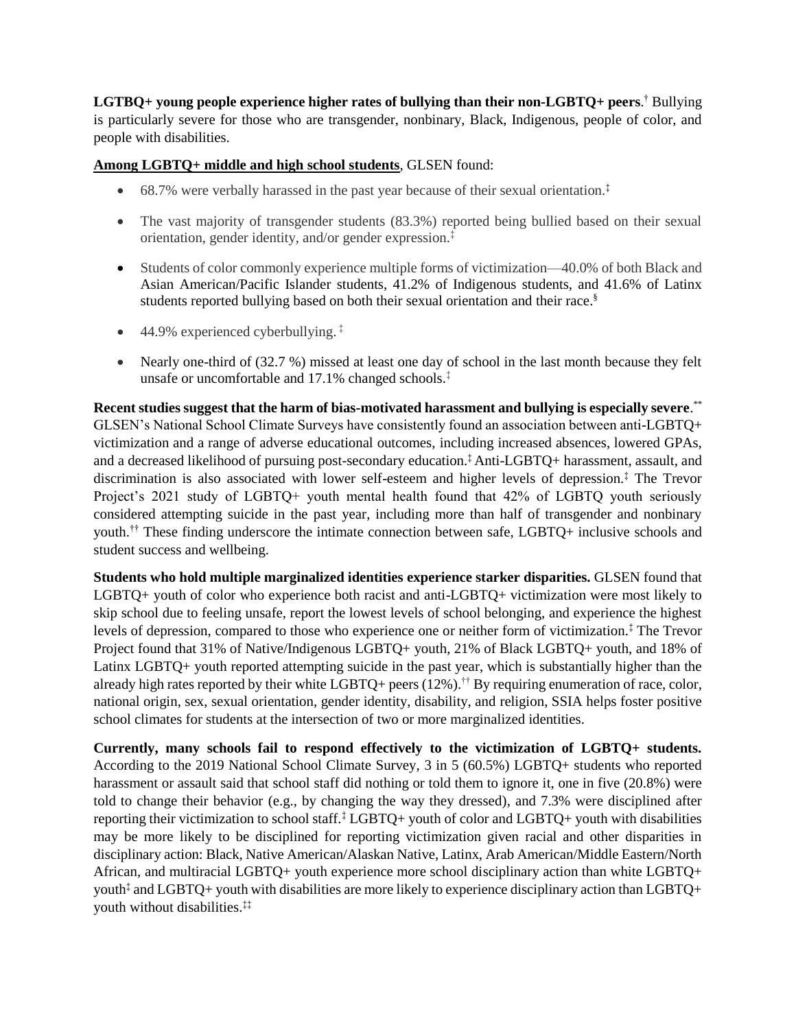**LGTBQ+ young people experience higher rates of bullying than their non-LGBTQ+ peers**. † Bullying is particularly severe for those who are transgender, nonbinary, Black, Indigenous, people of color, and people with disabilities.

## **Among LGBTQ+ middle and high school students**, GLSEN found:

- 68.7% were verbally harassed in the past year because of their sexual orientation.<sup> $\ddagger$ </sup>
- The vast majority of transgender students (83.3%) reported being bullied based on their sexual orientation, gender identity, and/or gender expression.‡
- Students of color commonly experience multiple forms of victimization—40.0% of both Black and Asian American/Pacific Islander students, 41.2% of Indigenous students, and 41.6% of Latinx students reported bullying based on both their sexual orientation and their race. §
- 44.9% experienced cyberbullying.<sup>†</sup>
- Nearly one-third of (32.7 %) missed at least one day of school in the last month because they felt unsafe or uncomfortable and 17.1% changed schools.‡

**Recent studies suggest that the harm of bias-motivated harassment and bullying is especially severe**. \*\* GLSEN's National School Climate Surveys have consistently found an association between anti-LGBTQ+ victimization and a range of adverse educational outcomes, including increased absences, lowered GPAs, and a decreased likelihood of pursuing post-secondary education.‡ Anti-LGBTQ+ harassment, assault, and discrimination is also associated with lower self-esteem and higher levels of depression.‡ The Trevor Project's 2021 study of LGBTQ+ youth mental health found that 42% of LGBTQ youth seriously considered attempting suicide in the past year, including more than half of transgender and nonbinary youth.†† These finding underscore the intimate connection between safe, LGBTQ+ inclusive schools and student success and wellbeing.

**Students who hold multiple marginalized identities experience starker disparities.** GLSEN found that LGBTQ+ youth of color who experience both racist and anti-LGBTQ+ victimization were most likely to skip school due to feeling unsafe, report the lowest levels of school belonging, and experience the highest levels of depression, compared to those who experience one or neither form of victimization.‡ The Trevor Project found that 31% of Native/Indigenous LGBTQ+ youth, 21% of Black LGBTQ+ youth, and 18% of Latinx LGBTQ+ youth reported attempting suicide in the past year, which is substantially higher than the already high rates reported by their white LGBTQ+ peers (12%).<sup>††</sup> By requiring enumeration of race, color, national origin, sex, sexual orientation, gender identity, disability, and religion, SSIA helps foster positive school climates for students at the intersection of two or more marginalized identities.

**Currently, many schools fail to respond effectively to the victimization of LGBTQ+ students.** According to the 2019 National School Climate Survey, 3 in 5 (60.5%) LGBTQ+ students who reported harassment or assault said that school staff did nothing or told them to ignore it, one in five (20.8%) were told to change their behavior (e.g., by changing the way they dressed), and 7.3% were disciplined after reporting their victimization to school staff.‡ LGBTQ+ youth of color and LGBTQ+ youth with disabilities may be more likely to be disciplined for reporting victimization given racial and other disparities in disciplinary action: Black, Native American/Alaskan Native, Latinx, Arab American/Middle Eastern/North African, and multiracial LGBTQ+ youth experience more school disciplinary action than white LGBTQ+ youth‡ and LGBTQ+ youth with disabilities are more likely to experience disciplinary action than LGBTQ+ youth without disabilities.‡‡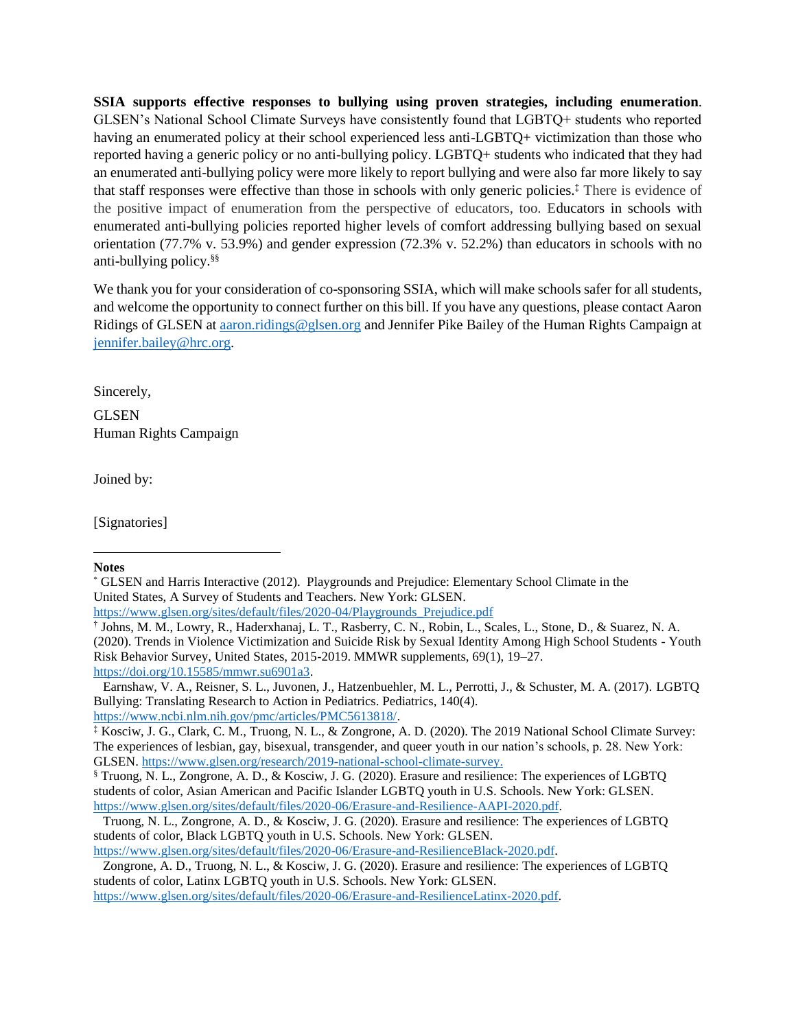**SSIA supports effective responses to bullying using proven strategies, including enumeration**. GLSEN's National School Climate Surveys have consistently found that LGBTQ+ students who reported having an enumerated policy at their school experienced less anti-LGBTQ+ victimization than those who reported having a generic policy or no anti-bullying policy. LGBTQ+ students who indicated that they had an enumerated anti-bullying policy were more likely to report bullying and were also far more likely to say that staff responses were effective than those in schools with only generic policies. ‡ There is evidence of the positive impact of enumeration from the perspective of educators, too. Educators in schools with enumerated anti-bullying policies reported higher levels of comfort addressing bullying based on sexual orientation (77.7% v. 53.9%) and gender expression (72.3% v. 52.2%) than educators in schools with no anti-bullying policy.§§

We thank you for your consideration of co-sponsoring SSIA, which will make schools safer for all students, and welcome the opportunity to connect further on this bill. If you have any questions, please contact Aaron Ridings of GLSEN at [aaron.ridings@glsen.org](mailto:aaron.ridings@glsen.org) and Jennifer Pike Bailey of the Human Rights Campaign at [jennifer.bailey@hrc.org.](mailto:jennifer.bailey@hrc.org)

Sincerely,

GLSEN Human Rights Campaign

Joined by:

[Signatories]

## **Notes**

 $\overline{a}$ 

[https://www.glsen.org/sites/default/files/2020-04/Playgrounds\\_Prejudice.pdf](https://www.glsen.org/sites/default/files/2020-04/Playgrounds_Prejudice.pdf)

Earnshaw, V. A., Reisner, S. L., Juvonen, J., Hatzenbuehler, M. L., Perrotti, J., & Schuster, M. A. (2017). LGBTQ Bullying: Translating Research to Action in Pediatrics. Pediatrics, 140(4). [https://www.ncbi.nlm.nih.gov/pmc/articles/PMC5613818/.](https://www.ncbi.nlm.nih.gov/pmc/articles/PMC5613818/) 

‡ Kosciw, J. G., Clark, C. M., Truong, N. L., & Zongrone, A. D. (2020). The 2019 National School Climate Survey: The experiences of lesbian, gay, bisexual, transgender, and queer youth in our nation's schools, p. 28. New York: GLSEN. [https://www.glsen.org/research/2019-national-school-climate-survey.](https://www.glsen.org/research/2019-national-school-climate-survey)

§ Truong, N. L., Zongrone, A. D., & Kosciw, J. G. (2020). Erasure and resilience: The experiences of LGBTQ students of color, Asian American and Pacific Islander LGBTQ youth in U.S. Schools. New York: GLSEN. [https://www.glsen.org/sites/default/files/2020-06/Erasure-and-Resilience-AAPI-2020.pdf.](https://www.glsen.org/sites/default/files/2020-06/Erasure-and-Resilience-AAPI-2020.pdf)

[https://www.glsen.org/sites/default/files/2020-06/Erasure-and-ResilienceBlack-2020.pdf.](https://www.glsen.org/sites/default/files/2020-06/Erasure-and-ResilienceBlack-2020.pdf)

Zongrone, A. D., Truong, N. L., & Kosciw, J. G. (2020). Erasure and resilience: The experiences of LGBTQ students of color, Latinx LGBTQ youth in U.S. Schools. New York: GLSEN.

[https://www.glsen.org/sites/default/files/2020-06/Erasure-and-ResilienceLatinx-2020.pdf.](https://www.glsen.org/sites/default/files/2020-06/Erasure-and-ResilienceLatinx-2020.pdf)

<sup>\*</sup> GLSEN and Harris Interactive (2012). Playgrounds and Prejudice: Elementary School Climate in the United States, A Survey of Students and Teachers. New York: GLSEN.

<sup>†</sup> Johns, M. M., Lowry, R., Haderxhanaj, L. T., Rasberry, C. N., Robin, L., Scales, L., Stone, D., & Suarez, N. A. (2020). Trends in Violence Victimization and Suicide Risk by Sexual Identity Among High School Students - Youth Risk Behavior Survey, United States, 2015-2019. MMWR supplements, 69(1), 19–27. [https://doi.org/10.15585/mmwr.su6901a3.](https://doi.org/10.15585/mmwr.su6901a3)

Truong, N. L., Zongrone, A. D., & Kosciw, J. G. (2020). Erasure and resilience: The experiences of LGBTQ students of color, Black LGBTQ youth in U.S. Schools. New York: GLSEN.